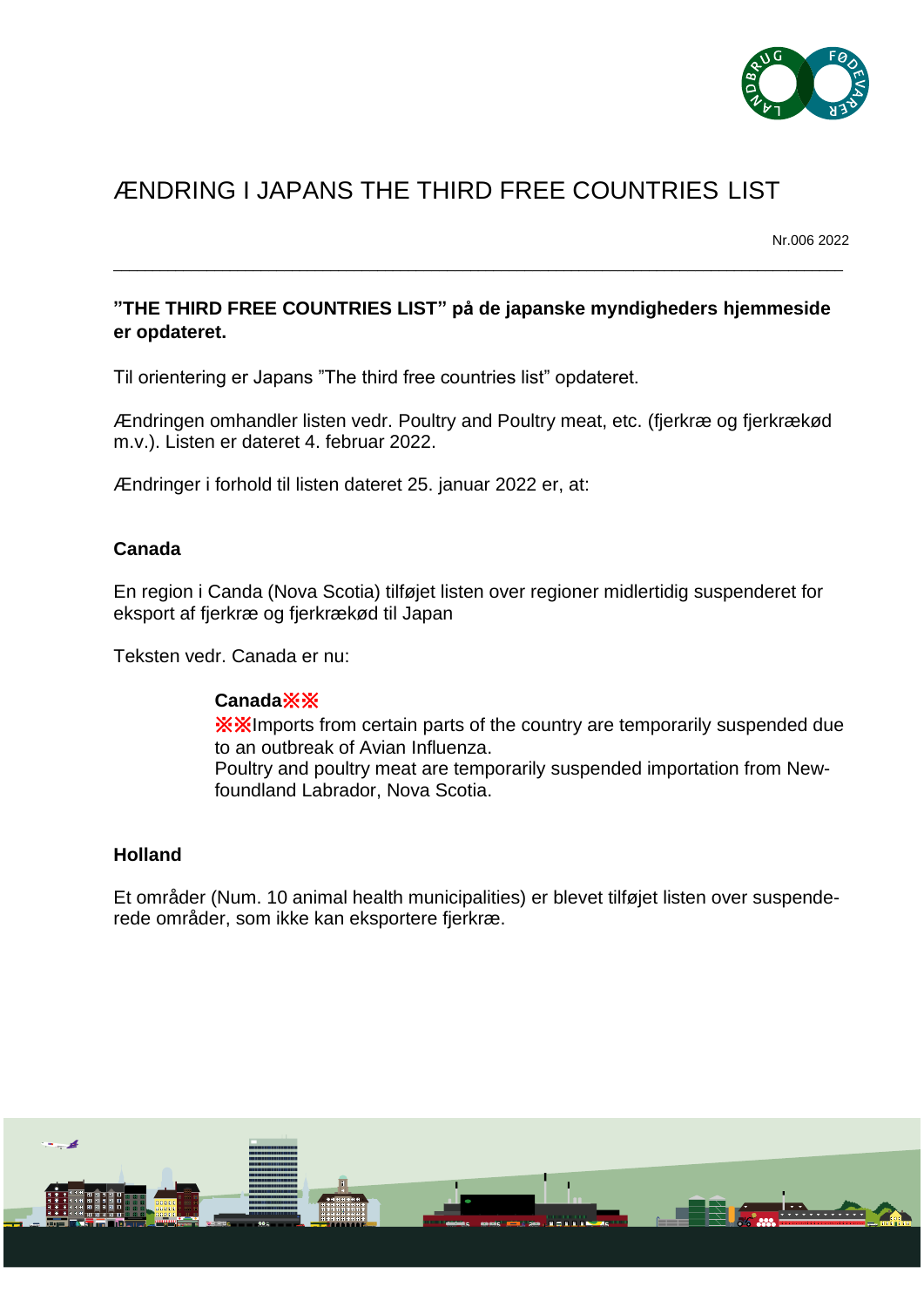

# ÆNDRING I JAPANS THE THIRD FREE COUNTRIES LIST

Nr.006 2022

# **"THE THIRD FREE COUNTRIES LIST" på de japanske myndigheders hjemmeside er opdateret.**

\_\_\_\_\_\_\_\_\_\_\_\_\_\_\_\_\_\_\_\_\_\_\_\_\_\_\_\_\_\_\_\_\_\_\_\_\_\_\_\_\_\_\_\_\_\_\_\_\_\_\_\_\_\_\_\_\_\_\_\_\_\_\_\_\_\_\_\_\_\_\_\_\_\_\_\_\_\_\_\_\_\_\_\_\_\_\_\_\_\_\_\_\_\_

Til orientering er Japans "The third free countries list" opdateret.

Ændringen omhandler listen vedr. Poultry and Poultry meat, etc. (fjerkræ og fjerkrækød m.v.). Listen er dateret 4. februar 2022.

Ændringer i forhold til listen dateret 25. januar 2022 er, at:

## **Canada**

En region i Canda (Nova Scotia) tilføjet listen over regioner midlertidig suspenderet for eksport af fjerkræ og fjerkrækød til Japan

Teksten vedr. Canada er nu:

### **Canada**※※

※※Imports from certain parts of the country are temporarily suspended due to an outbreak of Avian Influenza. Poultry and poultry meat are temporarily suspended importation from Newfoundland Labrador, Nova Scotia.

### **Holland**

Et områder (Num. 10 animal health municipalities) er blevet tilføjet listen over suspenderede områder, som ikke kan eksportere fjerkræ.